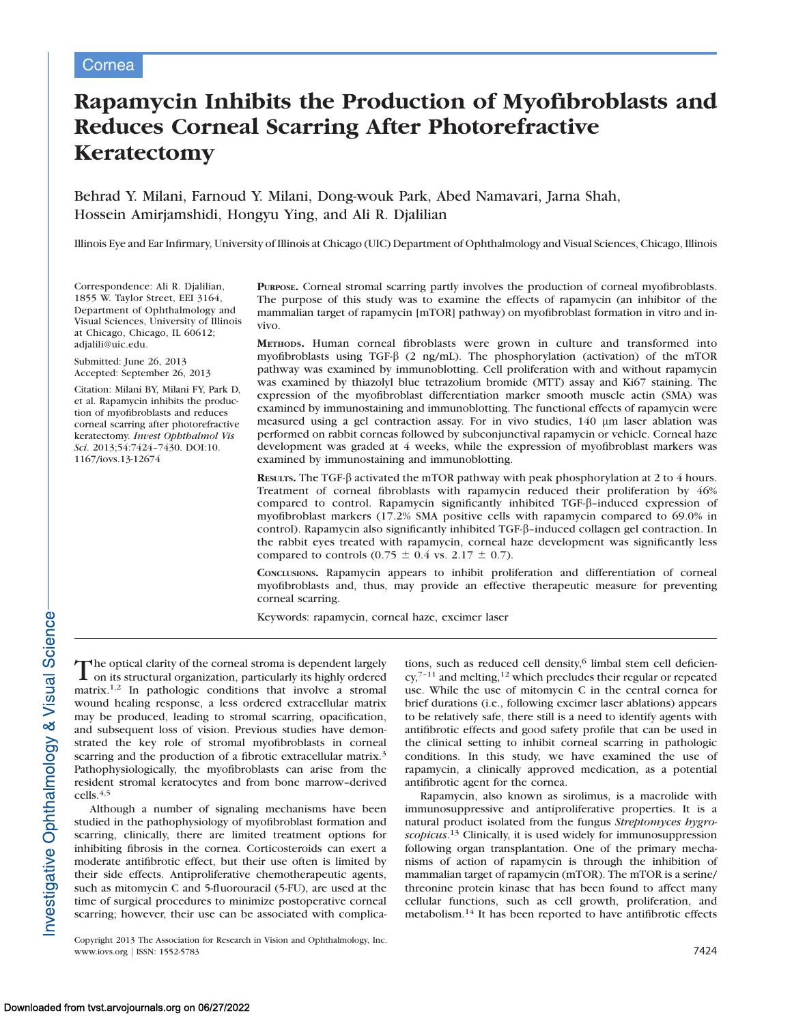# Rapamycin Inhibits the Production of Myofibroblasts and Reduces Corneal Scarring After Photorefractive Keratectomy

Behrad Y. Milani, Farnoud Y. Milani, Dong-wouk Park, Abed Namavari, Jarna Shah, Hossein Amirjamshidi, Hongyu Ying, and Ali R. Djalilian

Illinois Eye and Ear Infirmary, University of Illinois at Chicago (UIC) Department of Ophthalmology and Visual Sciences, Chicago, Illinois

Correspondence: Ali R. Djalilian, 1855 W. Taylor Street, EEI 3164, Department of Ophthalmology and Visual Sciences, University of Illinois at Chicago, Chicago, IL 60612; adjalili@uic.edu.

Submitted: June 26, 2013 Accepted: September 26, 2013

Citation: Milani BY, Milani FY, Park D, et al. Rapamycin inhibits the production of myofibroblasts and reduces corneal scarring after photorefractive keratectomy. Invest Ophthalmol Vis Sci. 2013;54:7424–7430. DOI:10. 1167/iovs.13-12674

PURPOSE. Corneal stromal scarring partly involves the production of corneal myofibroblasts. The purpose of this study was to examine the effects of rapamycin (an inhibitor of the mammalian target of rapamycin [mTOR] pathway) on myofibroblast formation in vitro and invivo.

METHODS. Human corneal fibroblasts were grown in culture and transformed into myofibroblasts using TGF- $\beta$  (2 ng/mL). The phosphorylation (activation) of the mTOR pathway was examined by immunoblotting. Cell proliferation with and without rapamycin was examined by thiazolyl blue tetrazolium bromide (MTT) assay and Ki67 staining. The expression of the myofibroblast differentiation marker smooth muscle actin (SMA) was examined by immunostaining and immunoblotting. The functional effects of rapamycin were measured using a gel contraction assay. For in vivo studies, 140 µm laser ablation was performed on rabbit corneas followed by subconjunctival rapamycin or vehicle. Corneal haze development was graded at 4 weeks, while the expression of myofibroblast markers was examined by immunostaining and immunoblotting.

RESULTS. The TGF- $\beta$  activated the mTOR pathway with peak phosphorylation at 2 to 4 hours. Treatment of corneal fibroblasts with rapamycin reduced their proliferation by 46% compared to control. Rapamycin significantly inhibited TGF- $\beta$ -induced expression of myofibroblast markers (17.2% SMA positive cells with rapamycin compared to 69.0% in control). Rapamycin also significantly inhibited TGF-b–induced collagen gel contraction. In the rabbit eyes treated with rapamycin, corneal haze development was significantly less compared to controls (0.75  $\pm$  0.4 vs. 2.17  $\pm$  0.7).

CONCLUSIONS. Rapamycin appears to inhibit proliferation and differentiation of corneal myofibroblasts and, thus, may provide an effective therapeutic measure for preventing corneal scarring.

Keywords: rapamycin, corneal haze, excimer laser

The optical clarity of the corneal stroma is dependent largely<br>on its structural organization narticularly its highly ordered on its structural organization, particularly its highly ordered matrix.1,2 In pathologic conditions that involve a stromal wound healing response, a less ordered extracellular matrix may be produced, leading to stromal scarring, opacification, and subsequent loss of vision. Previous studies have demonstrated the key role of stromal myofibroblasts in corneal scarring and the production of a fibrotic extracellular matrix.<sup>3</sup> Pathophysiologically, the myofibroblasts can arise from the resident stromal keratocytes and from bone marrow–derived cells.<sup>4,5</sup>

Although a number of signaling mechanisms have been studied in the pathophysiology of myofibroblast formation and scarring, clinically, there are limited treatment options for inhibiting fibrosis in the cornea. Corticosteroids can exert a moderate antifibrotic effect, but their use often is limited by their side effects. Antiproliferative chemotherapeutic agents, such as mitomycin C and 5-fluorouracil (5-FU), are used at the time of surgical procedures to minimize postoperative corneal scarring; however, their use can be associated with complica-

Copyright 2013 The Association for Research in Vision and Ophthalmology, Inc. www.iovs.org | ISSN: 1552-5783 7424

tions, such as reduced cell density,<sup>6</sup> limbal stem cell deficien $cy,7-11$  and melting,  $12$  which precludes their regular or repeated use. While the use of mitomycin C in the central cornea for brief durations (i.e., following excimer laser ablations) appears to be relatively safe, there still is a need to identify agents with antifibrotic effects and good safety profile that can be used in the clinical setting to inhibit corneal scarring in pathologic conditions. In this study, we have examined the use of rapamycin, a clinically approved medication, as a potential antifibrotic agent for the cornea.

Rapamycin, also known as sirolimus, is a macrolide with immunosuppressive and antiproliferative properties. It is a natural product isolated from the fungus Streptomyces hygroscopicus.<sup>13</sup> Clinically, it is used widely for immunosuppression following organ transplantation. One of the primary mechanisms of action of rapamycin is through the inhibition of mammalian target of rapamycin (mTOR). The mTOR is a serine/ threonine protein kinase that has been found to affect many cellular functions, such as cell growth, proliferation, and metabolism.<sup>14</sup> It has been reported to have antifibrotic effects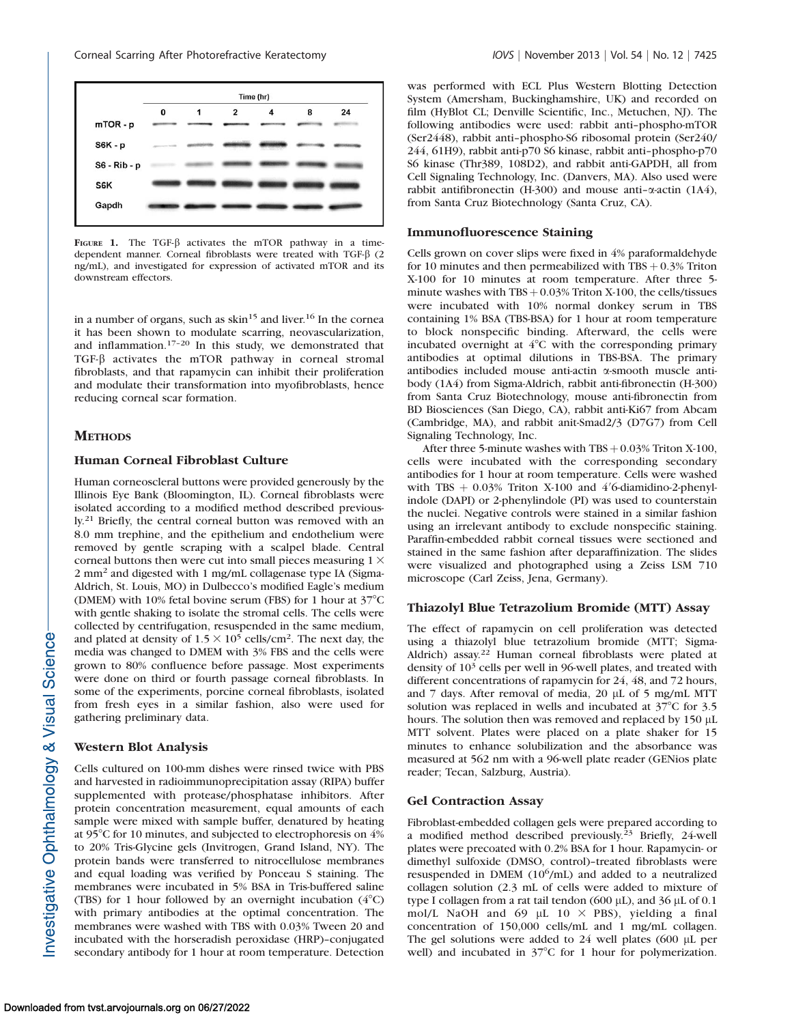

FIGURE 1. The TGF- $\beta$  activates the mTOR pathway in a timedependent manner. Corneal fibroblasts were treated with TGF- $\beta$  (2 ng/mL), and investigated for expression of activated mTOR and its downstream effectors.

in a number of organs, such as  $\sin^{15}$  and liver.<sup>16</sup> In the cornea it has been shown to modulate scarring, neovascularization, and inflammation.17–20 In this study, we demonstrated that TGF-b activates the mTOR pathway in corneal stromal fibroblasts, and that rapamycin can inhibit their proliferation and modulate their transformation into myofibroblasts, hence reducing corneal scar formation.

#### **METHODS**

## Human Corneal Fibroblast Culture

Human corneoscleral buttons were provided generously by the Illinois Eye Bank (Bloomington, IL). Corneal fibroblasts were isolated according to a modified method described previously.<sup>21</sup> Briefly, the central corneal button was removed with an 8.0 mm trephine, and the epithelium and endothelium were removed by gentle scraping with a scalpel blade. Central corneal buttons then were cut into small pieces measuring  $1 \times$ 2 mm<sup>2</sup> and digested with 1 mg/mL collagenase type IA (Sigma-Aldrich, St. Louis, MO) in Dulbecco's modified Eagle's medium (DMEM) with 10% fetal bovine serum (FBS) for 1 hour at  $37^{\circ}$ C with gentle shaking to isolate the stromal cells. The cells were collected by centrifugation, resuspended in the same medium, and plated at density of  $1.5 \times 10^5$  cells/cm<sup>2</sup>. The next day, the media was changed to DMEM with 3% FBS and the cells were grown to 80% confluence before passage. Most experiments were done on third or fourth passage corneal fibroblasts. In some of the experiments, porcine corneal fibroblasts, isolated from fresh eyes in a similar fashion, also were used for gathering preliminary data.

### Western Blot Analysis

Cells cultured on 100-mm dishes were rinsed twice with PBS and harvested in radioimmunoprecipitation assay (RIPA) buffer supplemented with protease/phosphatase inhibitors. After protein concentration measurement, equal amounts of each sample were mixed with sample buffer, denatured by heating at 95 $\degree$ C for 10 minutes, and subjected to electrophoresis on 4% to 20% Tris-Glycine gels (Invitrogen, Grand Island, NY). The protein bands were transferred to nitrocellulose membranes and equal loading was verified by Ponceau S staining. The membranes were incubated in 5% BSA in Tris-buffered saline (TBS) for 1 hour followed by an overnight incubation  $(4^{\circ}C)$ with primary antibodies at the optimal concentration. The membranes were washed with TBS with 0.03% Tween 20 and incubated with the horseradish peroxidase (HRP)–conjugated secondary antibody for 1 hour at room temperature. Detection

was performed with ECL Plus Western Blotting Detection System (Amersham, Buckinghamshire, UK) and recorded on film (HyBlot CL; Denville Scientific, Inc., Metuchen, NJ). The following antibodies were used: rabbit anti–phospho-mTOR (Ser2448), rabbit anti–phospho-S6 ribosomal protein (Ser240/ 244, 61H9), rabbit anti-p70 S6 kinase, rabbit anti–phospho-p70 S6 kinase (Thr389, 108D2), and rabbit anti-GAPDH, all from Cell Signaling Technology, Inc. (Danvers, MA). Also used were rabbit antifibronectin (H-300) and mouse anti- $\alpha$ -actin (1A4), from Santa Cruz Biotechnology (Santa Cruz, CA).

### Immunofluorescence Staining

Cells grown on cover slips were fixed in 4% paraformaldehyde for 10 minutes and then permeabilized with  $TBS + 0.3\%$  Triton X-100 for 10 minutes at room temperature. After three 5 minute washes with  $TBS + 0.03\%$  Triton X-100, the cells/tissues were incubated with 10% normal donkey serum in TBS containing 1% BSA (TBS-BSA) for 1 hour at room temperature to block nonspecific binding. Afterward, the cells were incubated overnight at  $4^{\circ}$ C with the corresponding primary antibodies at optimal dilutions in TBS-BSA. The primary antibodies included mouse anti-actin a-smooth muscle antibody (1A4) from Sigma-Aldrich, rabbit anti-fibronectin (H-300) from Santa Cruz Biotechnology, mouse anti-fibronectin from BD Biosciences (San Diego, CA), rabbit anti-Ki67 from Abcam (Cambridge, MA), and rabbit anit-Smad2/3 (D7G7) from Cell Signaling Technology, Inc.

After three 5-minute washes with  $TBS + 0.03\%$  Triton X-100, cells were incubated with the corresponding secondary antibodies for 1 hour at room temperature. Cells were washed with TBS  $+$  0.03% Triton X-100 and 4'6-diamidino-2-phenylindole (DAPI) or 2-phenylindole (PI) was used to counterstain the nuclei. Negative controls were stained in a similar fashion using an irrelevant antibody to exclude nonspecific staining. Paraffin-embedded rabbit corneal tissues were sectioned and stained in the same fashion after deparaffinization. The slides were visualized and photographed using a Zeiss LSM 710 microscope (Carl Zeiss, Jena, Germany).

#### Thiazolyl Blue Tetrazolium Bromide (MTT) Assay

The effect of rapamycin on cell proliferation was detected using a thiazolyl blue tetrazolium bromide (MTT; Sigma-Aldrich) assay.<sup>22</sup> Human corneal fibroblasts were plated at density of  $10<sup>3</sup>$  cells per well in 96-well plates, and treated with different concentrations of rapamycin for 24, 48, and 72 hours, and 7 days. After removal of media, 20 µL of 5 mg/mL MTT solution was replaced in wells and incubated at  $37^{\circ}$ C for 3.5 hours. The solution then was removed and replaced by 150 µL MTT solvent. Plates were placed on a plate shaker for 15 minutes to enhance solubilization and the absorbance was measured at 562 nm with a 96-well plate reader (GENios plate reader; Tecan, Salzburg, Austria).

## Gel Contraction Assay

Fibroblast-embedded collagen gels were prepared according to a modified method described previously.<sup>23</sup> Briefly, 24-well plates were precoated with 0.2% BSA for 1 hour. Rapamycin- or dimethyl sulfoxide (DMSO, control)–treated fibroblasts were resuspended in DMEM  $(10^6/\text{mL})$  and added to a neutralized collagen solution (2.3 mL of cells were added to mixture of type I collagen from a rat tail tendon (600  $\mu$ L), and 36  $\mu$ L of 0.1 mol/L NaOH and 69  $\mu$ L 10  $\times$  PBS), yielding a final concentration of 150,000 cells/mL and 1 mg/mL collagen. The gel solutions were added to  $24$  well plates (600  $\mu$ L per well) and incubated in  $37^{\circ}$ C for 1 hour for polymerization.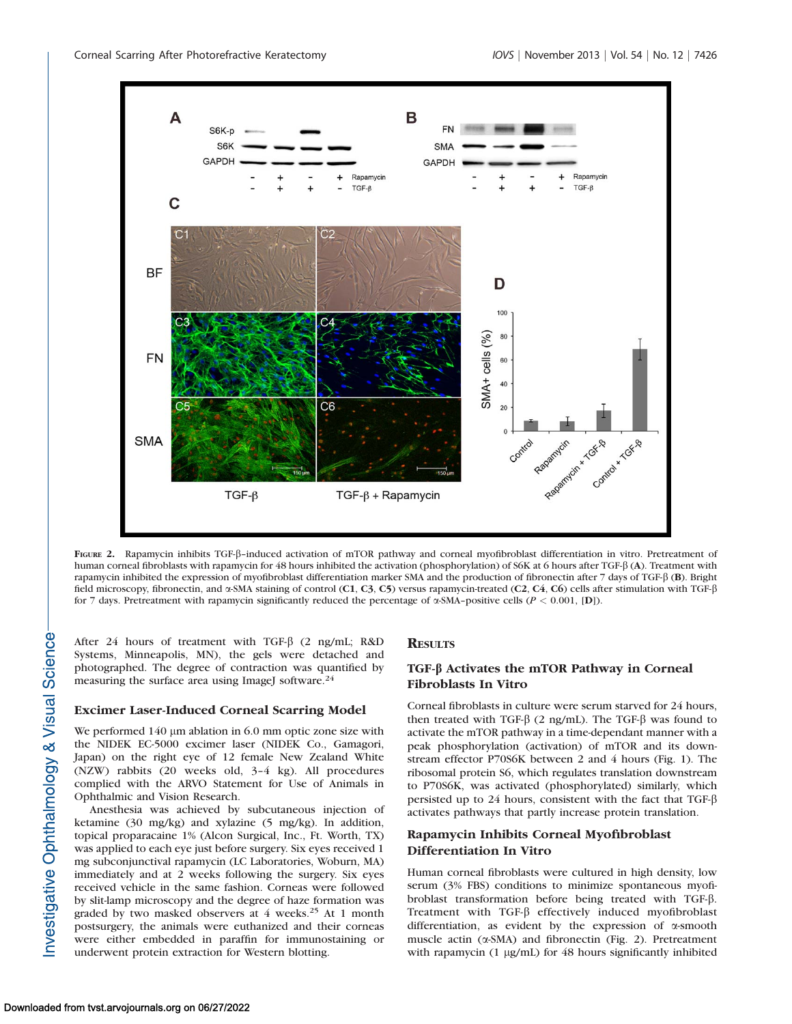

FIGURE 2. Rapamycin inhibits TGF-ß-induced activation of mTOR pathway and corneal myofibroblast differentiation in vitro. Pretreatment of human corneal fibroblasts with rapamycin for 48 hours inhibited the activation (phosphorylation) of S6K at 6 hours after TGF-β (A). Treatment with rapamycin inhibited the expression of myofibroblast differentiation marker SMA and the production of fibronectin after 7 days of TGF- $\beta$  (B). Bright field microscopy, fibronectin, and α-SMA staining of control (C1, C3, C5) versus rapamycin-treated (C2, C4, C6) cells after stimulation with TGF-β for 7 days. Pretreatment with rapamycin significantly reduced the percentage of  $\alpha$ -SMA-positive cells ( $P < 0.001$ , [D]).

After 24 hours of treatment with TGF- $\beta$  (2 ng/mL; R&D Systems, Minneapolis, MN), the gels were detached and photographed. The degree of contraction was quantified by measuring the surface area using ImageJ software.<sup>24</sup>

## Excimer Laser-Induced Corneal Scarring Model

We performed 140  $\mu$ m ablation in 6.0 mm optic zone size with the NIDEK EC-5000 excimer laser (NIDEK Co., Gamagori, Japan) on the right eye of 12 female New Zealand White (NZW) rabbits (20 weeks old, 3–4 kg). All procedures complied with the ARVO Statement for Use of Animals in Ophthalmic and Vision Research.

Anesthesia was achieved by subcutaneous injection of ketamine (30 mg/kg) and xylazine (5 mg/kg). In addition, topical proparacaine 1% (Alcon Surgical, Inc., Ft. Worth, TX) was applied to each eye just before surgery. Six eyes received 1 mg subconjunctival rapamycin (LC Laboratories, Woburn, MA) immediately and at 2 weeks following the surgery. Six eyes received vehicle in the same fashion. Corneas were followed by slit-lamp microscopy and the degree of haze formation was graded by two masked observers at 4 weeks.<sup>25</sup> At 1 month postsurgery, the animals were euthanized and their corneas were either embedded in paraffin for immunostaining or underwent protein extraction for Western blotting.

#### **RESULTS**

# TGF-b Activates the mTOR Pathway in Corneal Fibroblasts In Vitro

Corneal fibroblasts in culture were serum starved for 24 hours, then treated with TGF- $\beta$  (2 ng/mL). The TGF- $\beta$  was found to activate the mTOR pathway in a time-dependant manner with a peak phosphorylation (activation) of mTOR and its downstream effector P70S6K between 2 and 4 hours (Fig. 1). The ribosomal protein S6, which regulates translation downstream to P70S6K, was activated (phosphorylated) similarly, which persisted up to 24 hours, consistent with the fact that TGF- $\beta$ activates pathways that partly increase protein translation.

# Rapamycin Inhibits Corneal Myofibroblast Differentiation In Vitro

Human corneal fibroblasts were cultured in high density, low serum (3% FBS) conditions to minimize spontaneous myofibroblast transformation before being treated with TGF-b. Treatment with TGF- $\beta$  effectively induced myofibroblast differentiation, as evident by the expression of  $\alpha$ -smooth muscle actin (a-SMA) and fibronectin (Fig. 2). Pretreatment with rapamycin  $(1 \mu g/mL)$  for 48 hours significantly inhibited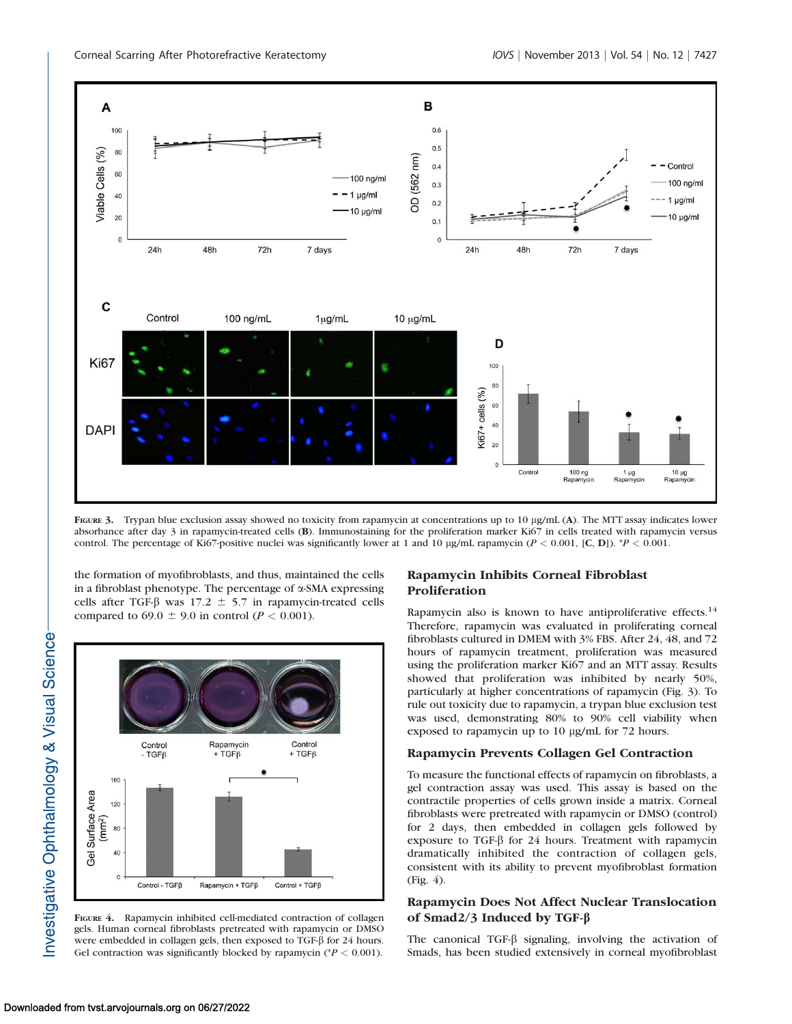

FIGURE 3. Trypan blue exclusion assay showed no toxicity from rapamycin at concentrations up to 10 µg/mL (A). The MTT assay indicates lower absorbance after day 3 in rapamycin-treated cells (B). Immunostaining for the proliferation marker Ki67 in cells treated with rapamycin versus control. The percentage of Ki67-positive nuclei was significantly lower at 1 and 10 µg/mL rapamycin ( $P < 0.001$ , [C, D]). \*P < 0.001.

the formation of myofibroblasts, and thus, maintained the cells in a fibroblast phenotype. The percentage of a-SMA expressing cells after TGF- $\beta$  was 17.2  $\pm$  5.7 in rapamycin-treated cells compared to 69.0  $\pm$  9.0 in control ( $P < 0.001$ ).



FIGURE 4. Rapamycin inhibited cell-mediated contraction of collagen gels. Human corneal fibroblasts pretreated with rapamycin or DMSO were embedded in collagen gels, then exposed to TGF-β for 24 hours. Gel contraction was significantly blocked by rapamycin ( $P < 0.001$ ).

# Rapamycin Inhibits Corneal Fibroblast Proliferation

Rapamycin also is known to have antiproliferative effects.<sup>14</sup> Therefore, rapamycin was evaluated in proliferating corneal fibroblasts cultured in DMEM with 3% FBS. After 24, 48, and 72 hours of rapamycin treatment, proliferation was measured using the proliferation marker Ki67 and an MTT assay. Results showed that proliferation was inhibited by nearly 50%, particularly at higher concentrations of rapamycin (Fig. 3). To rule out toxicity due to rapamycin, a trypan blue exclusion test was used, demonstrating 80% to 90% cell viability when exposed to rapamycin up to 10 µg/mL for 72 hours.

## Rapamycin Prevents Collagen Gel Contraction

To measure the functional effects of rapamycin on fibroblasts, a gel contraction assay was used. This assay is based on the contractile properties of cells grown inside a matrix. Corneal fibroblasts were pretreated with rapamycin or DMSO (control) for 2 days, then embedded in collagen gels followed by exposure to TGF- $\beta$  for 24 hours. Treatment with rapamycin dramatically inhibited the contraction of collagen gels, consistent with its ability to prevent myofibroblast formation (Fig. 4).

# Rapamycin Does Not Affect Nuclear Translocation of Smad2/3 Induced by TGF- $\beta$

The canonical TGF- $\beta$  signaling, involving the activation of Smads, has been studied extensively in corneal myofibroblast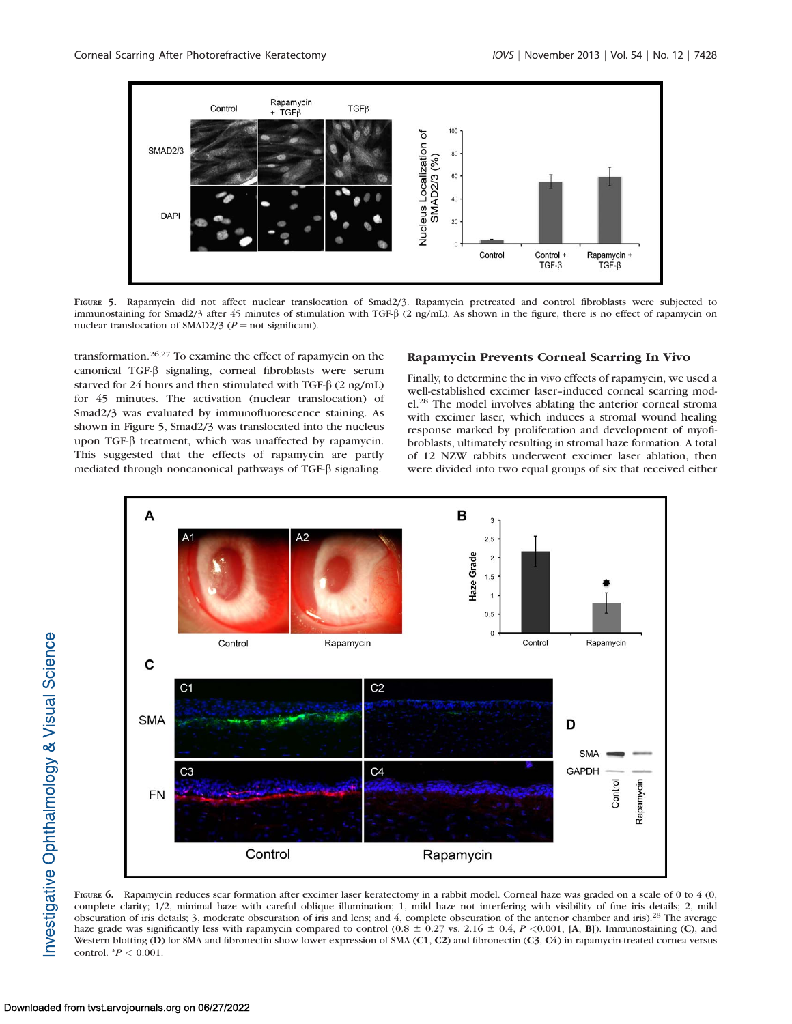

FIGURE 5. Rapamycin did not affect nuclear translocation of Smad2/3. Rapamycin pretreated and control fibroblasts were subjected to immunostaining for Smad2/3 after 45 minutes of stimulation with TGF- $\beta$  (2 ng/mL). As shown in the figure, there is no effect of rapamycin on nuclear translocation of SMAD2/3 ( $P =$  not significant).

transformation.26,27 To examine the effect of rapamycin on the canonical TGF-b signaling, corneal fibroblasts were serum starved for 24 hours and then stimulated with TGF- $\beta$  (2 ng/mL) for 45 minutes. The activation (nuclear translocation) of Smad2/3 was evaluated by immunofluorescence staining. As shown in Figure 5, Smad2/3 was translocated into the nucleus upon TGF-β treatment, which was unaffected by rapamycin. This suggested that the effects of rapamycin are partly mediated through noncanonical pathways of TGF- $\beta$  signaling.

#### Rapamycin Prevents Corneal Scarring In Vivo

Finally, to determine the in vivo effects of rapamycin, we used a well-established excimer laser–induced corneal scarring model.28 The model involves ablating the anterior corneal stroma with excimer laser, which induces a stromal wound healing response marked by proliferation and development of myofibroblasts, ultimately resulting in stromal haze formation. A total of 12 NZW rabbits underwent excimer laser ablation, then were divided into two equal groups of six that received either



FIGURE 6. Rapamycin reduces scar formation after excimer laser keratectomy in a rabbit model. Corneal haze was graded on a scale of 0 to 4 (0, complete clarity; 1/2, minimal haze with careful oblique illumination; 1, mild haze not interfering with visibility of fine iris details; 2, mild obscuration of iris details; 3, moderate obscuration of iris and lens; and 4, complete obscuration of the anterior chamber and iris).28 The average haze grade was significantly less with rapamycin compared to control (0.8  $\pm$  0.27 vs. 2.16  $\pm$  0.4, P <0.001, [A, B]). Immunostaining (C), and Western blotting (D) for SMA and fibronectin show lower expression of SMA (C1, C2) and fibronectin (C3, C4) in rapamycin-treated cornea versus control.  ${}^*P$  < 0.001.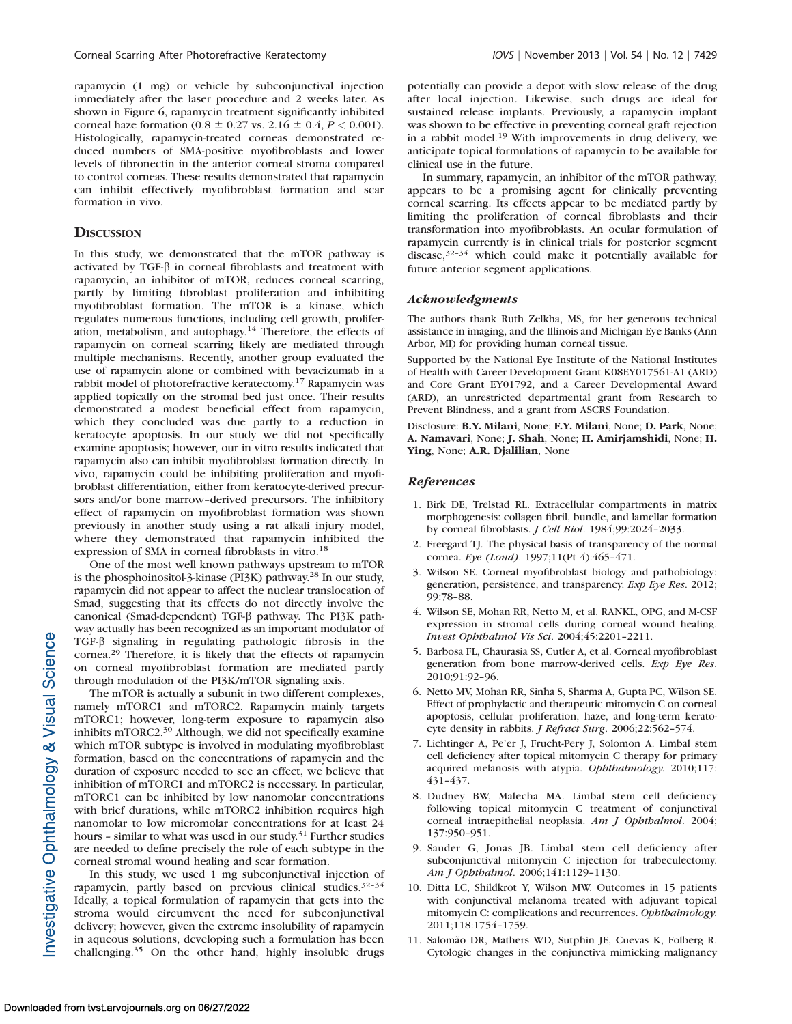rapamycin (1 mg) or vehicle by subconjunctival injection immediately after the laser procedure and 2 weeks later. As shown in Figure 6, rapamycin treatment significantly inhibited corneal haze formation (0.8  $\pm$  0.27 vs. 2.16  $\pm$  0.4, P < 0.001). Histologically, rapamycin-treated corneas demonstrated reduced numbers of SMA-positive myofibroblasts and lower levels of fibronectin in the anterior corneal stroma compared to control corneas. These results demonstrated that rapamycin can inhibit effectively myofibroblast formation and scar formation in vivo.

## **DISCUSSION**

In this study, we demonstrated that the mTOR pathway is activated by TGF- $\beta$  in corneal fibroblasts and treatment with rapamycin, an inhibitor of mTOR, reduces corneal scarring, partly by limiting fibroblast proliferation and inhibiting myofibroblast formation. The mTOR is a kinase, which regulates numerous functions, including cell growth, proliferation, metabolism, and autophagy.14 Therefore, the effects of rapamycin on corneal scarring likely are mediated through multiple mechanisms. Recently, another group evaluated the use of rapamycin alone or combined with bevacizumab in a rabbit model of photorefractive keratectomy.<sup>17</sup> Rapamycin was applied topically on the stromal bed just once. Their results demonstrated a modest beneficial effect from rapamycin, which they concluded was due partly to a reduction in keratocyte apoptosis. In our study we did not specifically examine apoptosis; however, our in vitro results indicated that rapamycin also can inhibit myofibroblast formation directly. In vivo, rapamycin could be inhibiting proliferation and myofibroblast differentiation, either from keratocyte-derived precursors and/or bone marrow–derived precursors. The inhibitory effect of rapamycin on myofibroblast formation was shown previously in another study using a rat alkali injury model, where they demonstrated that rapamycin inhibited the expression of SMA in corneal fibroblasts in vitro.<sup>18</sup>

One of the most well known pathways upstream to mTOR is the phosphoinositol-3-kinase (PI3K) pathway.28 In our study, rapamycin did not appear to affect the nuclear translocation of Smad, suggesting that its effects do not directly involve the canonical (Smad-dependent) TGF- $\beta$  pathway. The PI3K pathway actually has been recognized as an important modulator of TGF-b signaling in regulating pathologic fibrosis in the cornea.<sup>29</sup> Therefore, it is likely that the effects of rapamycin on corneal myofibroblast formation are mediated partly through modulation of the PI3K/mTOR signaling axis.

The mTOR is actually a subunit in two different complexes, namely mTORC1 and mTORC2. Rapamycin mainly targets mTORC1; however, long-term exposure to rapamycin also inhibits mTORC2.30 Although, we did not specifically examine which mTOR subtype is involved in modulating myofibroblast formation, based on the concentrations of rapamycin and the duration of exposure needed to see an effect, we believe that inhibition of mTORC1 and mTORC2 is necessary. In particular, mTORC1 can be inhibited by low nanomolar concentrations with brief durations, while mTORC2 inhibition requires high nanomolar to low micromolar concentrations for at least 24 hours - similar to what was used in our study.<sup>31</sup> Further studies are needed to define precisely the role of each subtype in the corneal stromal wound healing and scar formation.

In this study, we used 1 mg subconjunctival injection of rapamycin, partly based on previous clinical studies.<sup>32-34</sup> Ideally, a topical formulation of rapamycin that gets into the stroma would circumvent the need for subconjunctival delivery; however, given the extreme insolubility of rapamycin in aqueous solutions, developing such a formulation has been challenging.<sup>35</sup> On the other hand, highly insoluble drugs potentially can provide a depot with slow release of the drug after local injection. Likewise, such drugs are ideal for sustained release implants. Previously, a rapamycin implant was shown to be effective in preventing corneal graft rejection in a rabbit model.<sup>19</sup> With improvements in drug delivery, we anticipate topical formulations of rapamycin to be available for clinical use in the future.

In summary, rapamycin, an inhibitor of the mTOR pathway, appears to be a promising agent for clinically preventing corneal scarring. Its effects appear to be mediated partly by limiting the proliferation of corneal fibroblasts and their transformation into myofibroblasts. An ocular formulation of rapamycin currently is in clinical trials for posterior segment disease,32–34 which could make it potentially available for future anterior segment applications.

#### Acknowledgments

The authors thank Ruth Zelkha, MS, for her generous technical assistance in imaging, and the Illinois and Michigan Eye Banks (Ann Arbor, MI) for providing human corneal tissue.

Supported by the National Eye Institute of the National Institutes of Health with Career Development Grant K08EY017561-A1 (ARD) and Core Grant EY01792, and a Career Developmental Award (ARD), an unrestricted departmental grant from Research to Prevent Blindness, and a grant from ASCRS Foundation.

Disclosure: B.Y. Milani, None; F.Y. Milani, None; D. Park, None; A. Namavari, None; J. Shah, None; H. Amirjamshidi, None; H. Ying, None; A.R. Djalilian, None

#### References

- 1. Birk DE, Trelstad RL. Extracellular compartments in matrix morphogenesis: collagen fibril, bundle, and lamellar formation by corneal fibroblasts. J Cell Biol. 1984;99:2024–2033.
- 2. Freegard TJ. The physical basis of transparency of the normal cornea. Eye (Lond). 1997;11(Pt 4):465–471.
- 3. Wilson SE. Corneal myofibroblast biology and pathobiology: generation, persistence, and transparency. Exp Eye Res. 2012; 99:78–88.
- 4. Wilson SE, Mohan RR, Netto M, et al. RANKL, OPG, and M-CSF expression in stromal cells during corneal wound healing. Invest Ophthalmol Vis Sci. 2004;45:2201–2211.
- 5. Barbosa FL, Chaurasia SS, Cutler A, et al. Corneal myofibroblast generation from bone marrow-derived cells. Exp Eye Res. 2010;91:92–96.
- 6. Netto MV, Mohan RR, Sinha S, Sharma A, Gupta PC, Wilson SE. Effect of prophylactic and therapeutic mitomycin C on corneal apoptosis, cellular proliferation, haze, and long-term keratocyte density in rabbits. J Refract Surg. 2006;22:562–574.
- 7. Lichtinger A, Pe'er J, Frucht-Pery J, Solomon A. Limbal stem cell deficiency after topical mitomycin C therapy for primary acquired melanosis with atypia. Ophthalmology. 2010;117: 431–437.
- 8. Dudney BW, Malecha MA. Limbal stem cell deficiency following topical mitomycin C treatment of conjunctival corneal intraepithelial neoplasia. Am J Ophthalmol. 2004; 137:950–951.
- 9. Sauder G, Jonas JB. Limbal stem cell deficiency after subconjunctival mitomycin C injection for trabeculectomy. Am J Ophthalmol. 2006;141:1129–1130.
- 10. Ditta LC, Shildkrot Y, Wilson MW. Outcomes in 15 patients with conjunctival melanoma treated with adjuvant topical mitomycin C: complications and recurrences. Ophthalmology. 2011;118:1754–1759.
- 11. Salomão DR, Mathers WD, Sutphin JE, Cuevas K, Folberg R. Cytologic changes in the conjunctiva mimicking malignancy